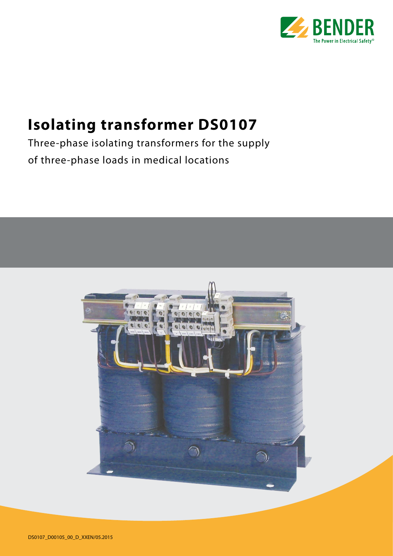

# **Isolating transformer DS0107**

Three-phase isolating transformers for the supply of three-phase loads in medical locations

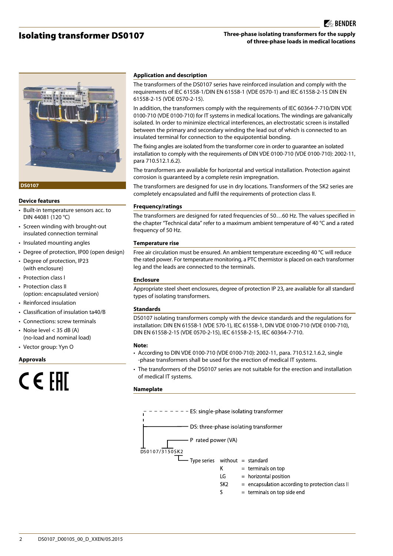# Isolating transformer DS0107

# **Three-phase isolating transformers for the supply of three-phase loads in medical locations**



#### **DS0107**

#### **Device features**

- Built-in temperature sensors acc. to DIN 44081 (120 °C)
- Screen winding with brought-out insulated connection terminal
- Insulated mounting angles
- Degree of protection, IP00 (open design)
- Degree of protection, IP23 (with enclosure)
- Protection class I
- Protection class II (option: encapsulated version)
- Reinforced insulation
- Classification of insulation ta40/B
- Connections: screw terminals • Noise level  $<$  35 dB (A) (no-load and nominal load)
- Vector group: Yyn O

#### **Approvals**

# CEEHI

#### **Application and description**

The transformers of the DS0107 series have reinforced insulation and comply with the requirements of IEC 61558-1/DIN EN 61558-1 (VDE 0570-1) and IEC 61558-2-15 DIN EN 61558-2-15 (VDE 0570-2-15).

In addition, the transformers comply with the requirements of IEC 60364-7-710/DIN VDE 0100-710 (VDE 0100-710) for IT systems in medical locations. The windings are galvanically isolated. In order to minimize electrical interferences, an electrostatic screen is installed between the primary and secondary winding the lead out of which is connected to an insulated terminal for connection to the equipotential bonding.

The fixing angles are isolated from the transformer core in order to guarantee an isolated installation to comply with the requirements of DIN VDE 0100-710 (VDE 0100-710): 2002-11, para 710.512.1.6.2).

The transformers are available for horizontal and vertical installation. Protection against corrosion is guaranteed by a complete resin impregnation.

The transformers are designed for use in dry locations. Transformers of the SK2 series are completely encapsulated and fulfil the requirements of protection class II.

#### **Frequency/ratings**

The transformers are designed for rated frequencies of 50…60 Hz. The values specified in the chapter "Technical data" refer to a maximum ambient temperature of 40 °C and a rated frequency of 50 Hz.

#### **Temperature rise**

Free air circulation must be ensured. An ambient temperature exceeding 40 °C will reduce the rated power. For temperature monitoring, a PTC thermistor is placed on each transformer leg and the leads are connected to the terminals.

#### **Enclosure**

Appropriate steel sheet enclosures, degree of protection IP 23, are available for all standard types of isolating transformers.

#### **Standards**

DS0107 isolating transformers comply with the device standards and the regulations for installation: DIN EN 61558-1 (VDE 570-1), IEC 61558-1, DIN VDE 0100-710 (VDE 0100-710), DIN EN 61558-2-15 (VDE 0570-2-15), IEC 61558-2-15, IEC 60364-7-710.

#### **Note:**

- According to DIN VDE 0100-710 (VDE 0100-710): 2002-11, para. 710.512.1.6.2, single -phase transformers shall be used for the erection of medical IT systems.
- The transformers of the DS0107 series are not suitable for the erection and installation of medical IT systems.

#### **Nameplate**



 $\mathsf{S}$  $=$  terminals on top side end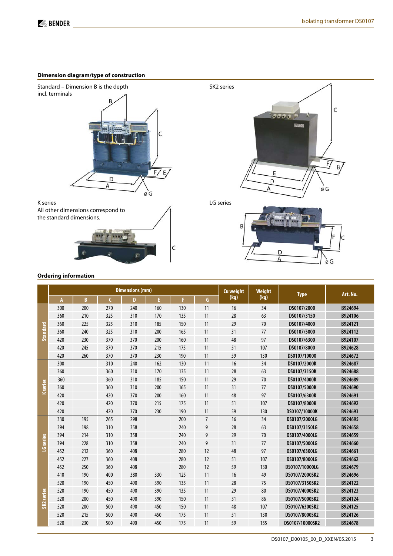### **Dimension diagram/type of construction**



# **Ordering information**

|                 |     |          |              | <b>Dimensions (mm)</b> |     |     | Cu weight      | Weight | <b>Type</b> | Art. No.        |         |
|-----------------|-----|----------|--------------|------------------------|-----|-----|----------------|--------|-------------|-----------------|---------|
|                 | A   | <b>B</b> | $\mathsf{C}$ | D                      | E.  | п   | G              | (kg)   | (kg)        |                 |         |
|                 | 300 | 200      | 270          | 240                    | 160 | 130 | 11             | 16     | 34          | DS0107/2000     | B924694 |
|                 | 360 | 210      | 325          | 310                    | 170 | 135 | 11             | 28     | 63          | DS0107/3150     | B924106 |
|                 | 360 | 225      | 325          | 310                    | 185 | 150 | 11             | 29     | 70          | DS0107/4000     | B924121 |
| <b>Standard</b> | 360 | 240      | 325          | 310                    | 200 | 165 | 11             | 31     | 77          | DS0107/5000     | B924112 |
|                 | 420 | 230      | 370          | 370                    | 200 | 160 | 11             | 48     | 97          | DS0107/6300     | B924107 |
|                 | 420 | 245      | 370          | 370                    | 215 | 175 | 11             | 51     | 107         | DS0107/8000     | B924628 |
|                 | 420 | 260      | 370          | 370                    | 230 | 190 | 11             | 59     | 130         | DS0107/10000    | B924672 |
|                 | 300 |          | 310          | 240                    | 162 | 130 | 11             | 16     | 34          | DS0107/2000K    | B924687 |
|                 | 360 |          | 360          | 310                    | 170 | 135 | 11             | 28     | 63          | DS0107/3150K    | B924688 |
|                 | 360 |          | 360          | 310                    | 185 | 150 | 11             | 29     | 70          | DS0107/4000K    | B924689 |
| <b>K</b> series | 360 |          | 360          | 310                    | 200 | 165 | 11             | 31     | 77          | DS0107/5000K    | B924690 |
|                 | 420 |          | 420          | 370                    | 200 | 160 | 11             | 48     | 97          | DS0107/6300K    | B924691 |
|                 | 420 |          | 420          | 370                    | 215 | 175 | 11             | 51     | 107         | DS0107/8000K    | B924692 |
|                 | 420 |          | 420          | 370                    | 230 | 190 | 11             | 59     | 130         | DS0107/10000K   | B924693 |
|                 | 330 | 195      | 265          | 298                    |     | 200 | $\overline{7}$ | 16     | 34          | DS0107/2000LG   | B924695 |
|                 | 394 | 198      | 310          | 358                    |     | 240 | 9              | 28     | 63          | DS0107/3150LG   | B924658 |
|                 | 394 | 214      | 310          | 358                    |     | 240 | 9              | 29     | 70          | DS0107/4000LG   | B924659 |
| LG series       | 394 | 228      | 310          | 358                    |     | 240 | 9              | 31     | 77          | DS0107/5000LG   | B924660 |
|                 | 452 | 212      | 360          | 408                    |     | 280 | 12             | 48     | 97          | DS0107/6300LG   | B924661 |
|                 | 452 | 227      | 360          | 408                    |     | 280 | 12             | 51     | 107         | DS0107/8000LG   | B924662 |
|                 | 452 | 250      | 360          | 408                    |     | 280 | 12             | 59     | 130         | DS0107/10000LG  | B924679 |
|                 | 410 | 190      | 400          | 380                    | 330 | 125 | 11             | 16     | 49          | DS0107/2000SK2  | B924696 |
|                 | 520 | 190      | 450          | 490                    | 390 | 135 | 11             | 28     | 75          | DS0107/3150SK2  | B924122 |
|                 | 520 | 190      | 450          | 490                    | 390 | 135 | 11             | 29     | 80          | DS0107/4000SK2  | B924123 |
| SK2 series      | 520 | 200      | 450          | 490                    | 390 | 150 | 11             | 31     | 86          | DS0107/5000SK2  | B924124 |
|                 | 520 | 200      | 500          | 490                    | 450 | 150 | 11             | 48     | 107         | DS0107/6300SK2  | B924125 |
|                 | 520 | 215      | 500          | 490                    | 450 | 175 | 11             | 51     | 130         | DS0107/8000SK2  | B924126 |
|                 | 520 | 230      | 500          | 490                    | 450 | 175 | 11             | 59     | 155         | DS0107/10000SK2 | B924678 |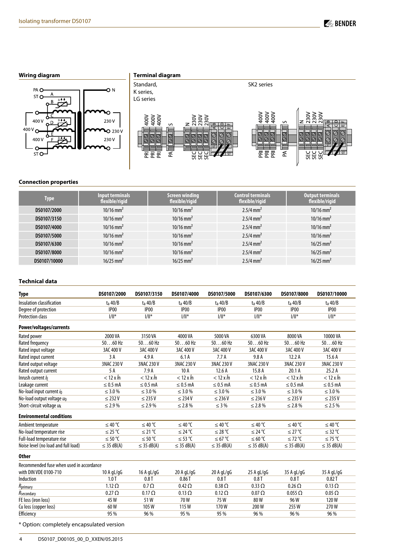# **Wiring diagram**



# **Terminal diagram**



# **Connection properties**

| Type         | <b>Input terminals</b><br>flexible/rigid | <b>Screen winding</b><br>flexible/rigid | <b>Control terminals</b><br>flexible/rigid | <b>Output terminals</b><br>flexible/rigid |
|--------------|------------------------------------------|-----------------------------------------|--------------------------------------------|-------------------------------------------|
| DS0107/2000  | $10/16$ mm <sup>2</sup>                  | $10/16$ mm <sup>2</sup>                 | $2.5/4$ mm <sup>2</sup>                    | $10/16$ mm <sup>2</sup>                   |
| DS0107/3150  | $10/16$ mm <sup>2</sup>                  | $10/16$ mm <sup>2</sup>                 | $2.5/4$ mm <sup>2</sup>                    | $10/16$ mm <sup>2</sup>                   |
| DS0107/4000  | $10/16$ mm <sup>2</sup>                  | $10/16$ mm <sup>2</sup>                 | $2.5/4$ mm <sup>2</sup>                    | $10/16$ mm <sup>2</sup>                   |
| DS0107/5000  | $10/16$ mm <sup>2</sup>                  | $10/16$ mm <sup>2</sup>                 | $2.5/4$ mm <sup>2</sup>                    | $10/16$ mm <sup>2</sup>                   |
| DS0107/6300  | $10/16$ mm <sup>2</sup>                  | $10/16$ mm <sup>2</sup>                 | $2.5/4$ mm <sup>2</sup>                    | $16/25$ mm <sup>2</sup>                   |
| DS0107/8000  | $10/16$ mm <sup>2</sup>                  | $10/16$ mm <sup>2</sup>                 | $2.5/4$ mm <sup>2</sup>                    | $16/25$ mm <sup>2</sup>                   |
| DS0107/10000 | $16/25$ mm <sup>2</sup>                  | $16/25$ mm <sup>2</sup>                 | $2.5/4$ mm <sup>2</sup>                    | $16/25$ mm <sup>2</sup>                   |

#### **Technical data**

| <b>Type</b>                              | DS0107/2000          | DS0107/3150             | DS0107/4000             | DS0107/5000             | DS0107/6300          | DS0107/8000          | DS0107/10000         |
|------------------------------------------|----------------------|-------------------------|-------------------------|-------------------------|----------------------|----------------------|----------------------|
| Insulation classification                | $t_a$ 40/B           | $t_a$ 40/B              | $t_a$ 40/B              | $t_a$ 40/B              | $t_a$ 40/B           | $t_a$ 40/B           | $t_a$ 40/B           |
| Degree of protection                     | IP <sub>00</sub>     | IP <sub>00</sub>        | IP00                    | IP <sub>00</sub>        | IP <sub>00</sub>     | IP <sub>00</sub>     | IP00                 |
| <b>Protection class</b>                  | $\ f\ ^*$            | $1/  ^*$                | $1/  ^*$                | $\ f\ ^*$               | $1/  ^*$             | $1/  ^*$             | $1/  ^*$             |
| Power/voltages/currents                  |                      |                         |                         |                         |                      |                      |                      |
| Rated power                              | 2000 VA              | 3150 VA                 | 4000 VA                 | 5000 VA                 | 6300 VA              | 8000 VA              | 10000 VA             |
| Rated frequency                          | $5060$ Hz            | $5060$ Hz               | $5060$ Hz               | $5060$ Hz               | $5060$ Hz            | $5060$ Hz            | $5060$ Hz            |
| Rated input voltage                      | 3AC 400 V            | 3AC 400 V               | 3AC 400 V               | 3AC 400 V               | 3AC 400 V            | 3AC 400 V            | 3AC 400 V            |
| Rated input current                      | 3 A                  | 4.9 A                   | 6.1A                    | 7.7A                    | 9.8 A                | 12.2A                | 15.6A                |
| Rated output voltage                     | 3NAC 230 V           | 3NAC 230 V              | 3NAC 230 V              | 3NAC 230 V              | 3NAC 230 V           | 3NAC 230 V           | 3NAC 230 V           |
| Rated output current                     | 5 A                  | 7.9A                    | 10A                     | 12.6A                   | 15.8 A               | 20.1A                | 25.2A                |
| Inrush current /E                        | $<$ 12 x $\hat{I}$ n | $< 12 \times \hat{I}$ n | $< 12 \times \hat{I}$ n | $< 12 \times \hat{I}$ n | $<$ 12 x $\hat{I}$ n | $<$ 12 x $\hat{I}$ n | $<$ 12 x $\hat{I}$ n |
| Leakage current                          | $\leq$ 0.5 mA        | $\leq$ 0.5 mA           | $\leq$ 0.5 mA           | $\leq$ 0.5 mA           | $\leq$ 0.5 mA        | $\leq$ 0.5 mA        | $\leq$ 0.5 mA        |
| No-load input current io                 | $\leq 3.0\%$         | $\leq$ 3.0 %            | $\leq$ 3.0 %            | $\leq$ 3.0 %            | $\leq$ 3.0 %         | $\leq$ 3.0 %         | $\leq$ 3.0 %         |
| No-load output voltage uo                | $\leq$ 232 V         | $\leq$ 235 V            | $\leq$ 234 V            | $\leq$ 236 V            | $\leq$ 236 V         | $\leq$ 235 V         | $\leq$ 235 V         |
| Short-circuit voltage uk                 | $\leq 2.9\%$         | $\leq 2.9\%$            | $\leq$ 2.8%             | $\leq$ 3 %              | $\leq$ 2.8 %         | $\leq$ 2.8%          | $\leq$ 2.5 %         |
| <b>Environmental conditions</b>          |                      |                         |                         |                         |                      |                      |                      |
| Ambient temperature                      | ≤ 40 °C              | ≤ 40 °C                 | ≤ 40 °C                 | ≤ 40 °C                 | ≤ 40 °C              | ≤ 40 °C              | ≤ 40 °C              |
| No-load temperature rise                 | ≤ 25 °C              | ≤ 21 °C                 | ≤ 24 °C                 | ≤ 28 °C                 | ≤ 24 °C              | ≤ 27 °C              | ≤ 32 °C              |
| Full-load temperature rise               | ≤ 50 °C              | ≤ 50 °C                 | ≤ 53 °C                 | ≤ 67 °C                 | ≤ 60 °C              | ≤ 72 °C              | ≤ 75 °C              |
| Noise level (no load and full load)      | $\leq$ 35 dB(A)      | $\leq$ 35 dB(A)         | $\leq$ 35 dB(A)         | $\leq$ 35 dB(A)         | $\leq$ 35 dB(A)      | $\leq$ 35 dB(A)      | $\leq$ 35 dB(A)      |
| <b>Other</b>                             |                      |                         |                         |                         |                      |                      |                      |
| Recommended fuse when used in accordance |                      |                         |                         |                         |                      |                      |                      |
| with DIN VDE 0100-710                    | 10A gL/gG            | 16 A gL/gG              | $20$ A gL/gG            | $20$ A gL/gG            | $25$ A gL/gG         | 35 A gL/gG           | 35 A gL/gG           |
| Induction                                | 1.0T                 | 0.8T                    | 0.86T                   | 0.8T                    | 0.8T                 | 0.8T                 | 0.82T                |
| $R_{\text{primary}}$                     | $1.12 \Omega$        | $0.7 \Omega$            | $0.42 \Omega$           | $0.38 \Omega$           | $0.33 \Omega$        | $0.26 \Omega$        | $0.13 \Omega$        |
| $R_{\rm secondary}$                      | $0.27 \Omega$        | $0.17 \Omega$           | $0.13 \Omega$           | $0.12 \Omega$           | $0.07 \Omega$        | $0.055 \Omega$       | $0.05 \Omega$        |
| FE loss (iron loss)                      | 45W                  | 51W                     | 70W                     | 75W                     | 80W                  | 96W                  | 120W                 |
| Cu loss (copper loss)                    | 60 W                 | 105W                    | 115W                    | 170W                    | 200W                 | 255W                 | 270W                 |
| Efficiency                               | 95 %                 | 96 %                    | 95 %                    | 95 %                    | 96 %                 | 96 %                 | 96 %                 |

\* Option: completely encapsulated version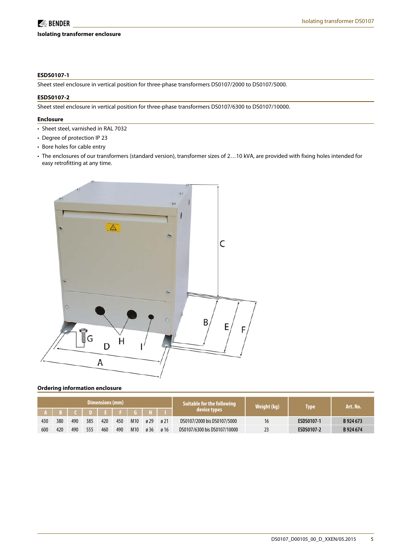#### **Isolating transformer enclosure**

#### **ESDS0107-1**

Sheet steel enclosure in vertical position for three-phase transformers DS0107/2000 to DS0107/5000.

#### **ESDS0107-2**

Sheet steel enclosure in vertical position for three-phase transformers DS0107/6300 to DS0107/10000.

#### **Enclosure**

- Sheet steel, varnished in RAL 7032
- Degree of protection IP 23
- Bore holes for cable entry
- The enclosures of our transformers (standard version), transformer sizes of 2…10 kVA, are provided with fixing holes intended for easy retrofitting at any time.



#### **Ordering information enclosure**

| Dimensions (mm) |       |     |     |     |     |     |             |                  | Suitable for the following   | Weight (kg) | Type       | Art. No.  |
|-----------------|-------|-----|-----|-----|-----|-----|-------------|------------------|------------------------------|-------------|------------|-----------|
|                 | $A$ R |     |     |     |     |     | IDIEIFIGIHI |                  | device types                 |             |            |           |
| 430             | 380   | 490 | 385 | 420 | 450 | M10 | ø 29        | $\varnothing$ 21 | DS0107/2000 bis DS0107/5000  | 16          | ESDS0107-1 | B 924 673 |
| 600             | 420   | 490 | 555 | 460 | 490 | M10 | ø 36        | ø 16             | DS0107/6300 bis DS0107/10000 |             | ESDS0107-2 | B 924 674 |